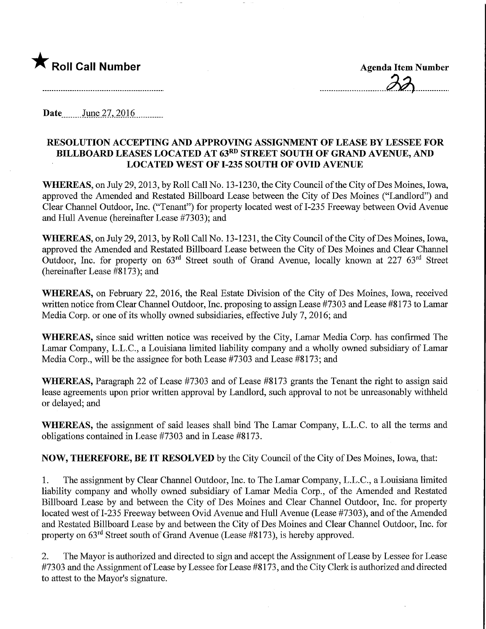

Date<sub>\_\_\_\_\_\_</sub>June.27, 2016

## RESOLUTION ACCEPTING AND APPROVING ASSIGNMENT OF LEASE BY LESSEE FOR BILLBOARD LEASES LOCATED AT 63RD STREET SOUTH OF GRAND AVENUE, AND LOCATED WEST OF 1-235 SOUTH OF OVID AVENUE

WHEREAS, on July 29, 2013, by Roll Call No. 13-1230, the City Council of the City of Des Moines, Iowa, approved the Amended and Restated Billboard Lease between the City of Des Moines ("Landlord") and Clear Channel Outdoor, Inc. ("Tenant") for property located west of 1-235 Freeway between Ovid Avenue and Hull Avenue (hereinafter Lease #7303); and

WHEREAS, on July 29, 2013, by Roll Call No. 13-1231, the City Council of the City of Des Moines, Iowa, approved the Amended and Restated Billboard Lease between the City of Des Moines and Clear Channel Outdoor, Inc. for property on 63rd Street south of Grand Avenue, locally known at 227 63rd Street (hereinafter Lease #8173); and

WHEREAS, on February 22, 2016, the Real Estate Division of the City of Des Moines, Iowa, received written notice from Clear Channel Outdoor, Inc. proposing to assign Lease #7303 and Lease #8 173 to Lamar Media Corp. or one of its wholly owned subsidiaries, effective July 7, 2016; and

WHEREAS, since said written notice was received by the City, Lamar Media Corp. has confirmed The Lamar Company, L.L.C., a Louisiana limited liability company and a wholly owned subsidiary of Lamar Media Corp., will be the assignee for both Lease #7303 and Lease #8173; and

WHEREAS, Paragraph 22 of Lease #7303 and of Lease #8173 grants the Tenant the right to assign said lease agreements upon prior written approval by Landlord, such approval to not be unreasonably withheld or delayed; and

WHEREAS, the assignment of said leases shall bind The Lamar Company, L.L.C. to all the terms and obligations contained in Lease #7303 and in Lease #8173.

NOW, THEREFORE, BE IT RESOLVED by the City Council of the City of Des Moines, Iowa, that:

1. The assignment by Clear Channel Outdoor, Inc. to The Lamar Company, L.L.C., a Louisiana limited liability company and wholly owned subsidiary of Lamar Media Corp., of the Amended and Restated Billboard Lease by and between the City of Des Moines and Clear Channel Outdoor, Inc. for property located west of 1-235 Freeway between Ovid Avenue and Hull Avenue (Lease #7303), and of the Amended and Restated Billboard Lease by and between the City of Des Moines and Clear Channel Outdoor, Inc. for property on  $63<sup>rd</sup>$  Street south of Grand Avenue (Lease #8173), is hereby approved.

2. The Mayor is authorized and directed to sign and accept the Assignment of Lease by Lessee for Lease #7303 and the Assignment of Lease by Lessee for Lease #8173, and the City Clerk is authorized and directed to attest to the Mayor's signature.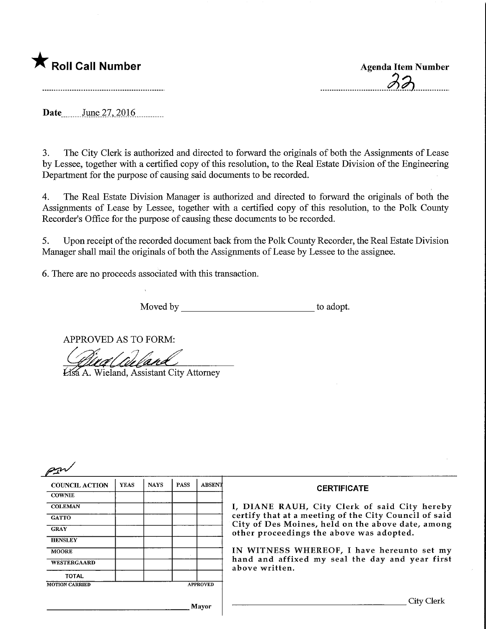

Date June 27, 2016

3. The City Clerk is authorized and directed to forward the originals of both the Assignments of Lease by Lessee, together with a certified copy of this resolution, to the Real Estate Division of the Engineering Department for the purpose of causing said documents to be recorded.

4. The Real Estate Division Manager is authorized and directed to forward the originals of both the Assignments of Lease by Lessee, together with a certified copy of this resolution, to the Polk County Recorder's Office for the purpose of causing these documents to be recorded.

5. Upon receipt of the recorded document back from the Polk County Recorder, the Real Estate Division Manager shall mail the originals of both the Assignments of Lease by Lessee to the assignee.

6. There are no proceeds associated with this transaction.

Moved by to adopt.

APPROVED AS TO FORM:

APPROVED AS TO FORM:<br>Alia (Culand)<br>Assa A. Wieland, Assistant City Attorney

| <b>COUNCIL ACTION</b>                    | <b>YEAS</b> | <b>NAYS</b> | <b>PASS</b> | <b>ABSENT</b> | <b>CERTIFICATE</b><br>I, DIANE RAUH, City Clerk of said City hereby<br>certify that at a meeting of the City Council of said<br>City of Des Moines, held on the above date, among<br>other proceedings the above was adopted. |
|------------------------------------------|-------------|-------------|-------------|---------------|-------------------------------------------------------------------------------------------------------------------------------------------------------------------------------------------------------------------------------|
| <b>COWNIE</b>                            |             |             |             |               |                                                                                                                                                                                                                               |
| <b>COLEMAN</b>                           |             |             |             |               |                                                                                                                                                                                                                               |
| <b>GATTO</b>                             |             |             |             |               |                                                                                                                                                                                                                               |
| <b>GRAY</b>                              |             |             |             |               |                                                                                                                                                                                                                               |
| <b>HENSLEY</b>                           |             |             |             |               |                                                                                                                                                                                                                               |
| <b>MOORE</b>                             |             |             |             |               | IN WITNESS WHEREOF, I have hereunto set my                                                                                                                                                                                    |
| WESTERGAARD                              |             |             |             |               | hand and affixed my seal the day and year first<br>above written.                                                                                                                                                             |
| <b>TOTAL</b>                             |             |             |             |               |                                                                                                                                                                                                                               |
| <b>APPROVED</b><br><b>MOTION CARRIED</b> |             |             |             |               |                                                                                                                                                                                                                               |
|                                          |             |             |             | Mavor         | City Clerk                                                                                                                                                                                                                    |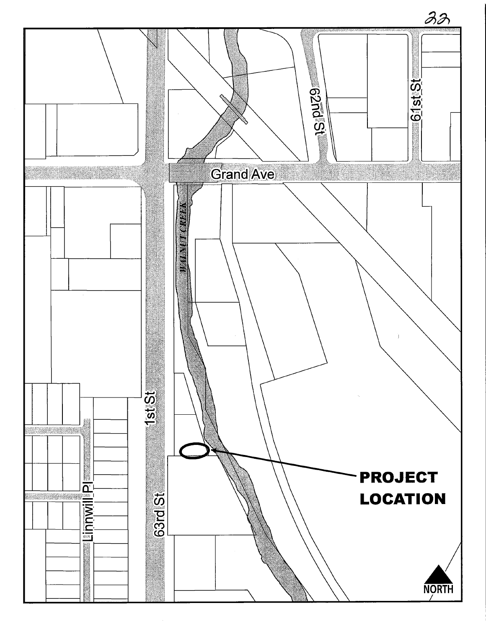